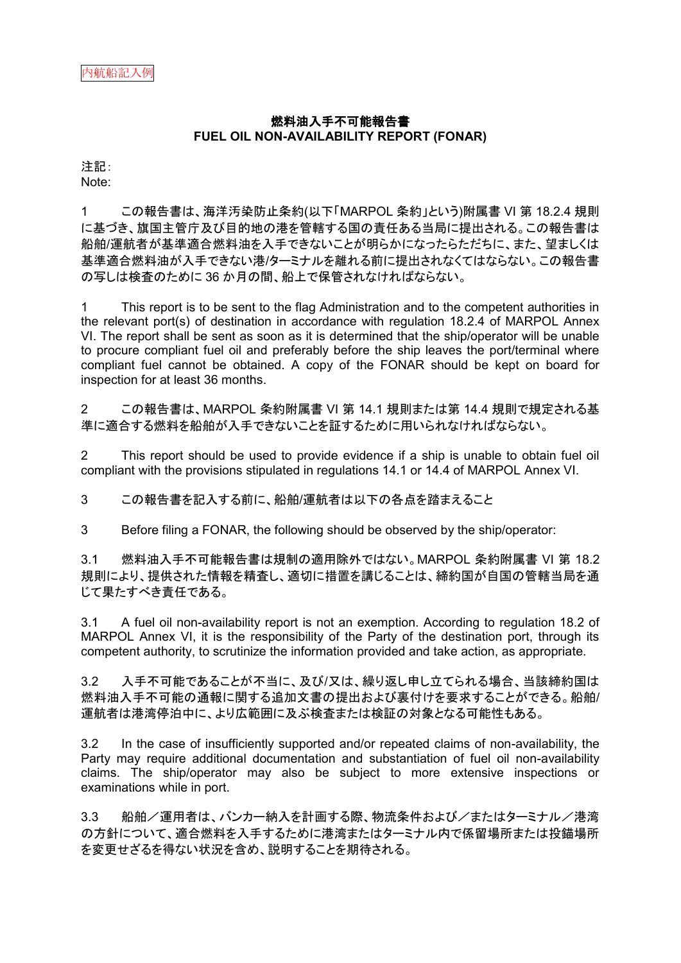# 燃料油入手不可能報告書 **FUEL OIL NON-AVAILABILITY REPORT (FONAR)**

注記: Note:

1 この報告書は、海洋汚染防止条約(以下「MARPOL 条約」という)附属書 VI 第 18.2.4 規則 に基づき、旗国主管庁及び目的地の港を管轄する国の責任ある当局に提出される。この報告書は 船舶/運航者が基準適合燃料油を入手できないことが明らかになったらただちに、また、望ましくは 基準適合燃料油が入手できない港/ターミナルを離れる前に提出されなくてはならない。この報告書 の写しは検査のために 36 か月の間、船上で保管されなければならない。

1 This report is to be sent to the flag Administration and to the competent authorities in the relevant port(s) of destination in accordance with regulation 18.2.4 of MARPOL Annex VI. The report shall be sent as soon as it is determined that the ship/operator will be unable to procure compliant fuel oil and preferably before the ship leaves the port/terminal where compliant fuel cannot be obtained. A copy of the FONAR should be kept on board for inspection for at least 36 months.

2 この報告書は、MARPOL 条約附属書 VI 第 14.1 規則または第 14.4 規則で規定される基 準に適合する燃料を船舶が入手できないことを証するために用いられなければならない。

2 This report should be used to provide evidence if a ship is unable to obtain fuel oil compliant with the provisions stipulated in regulations 14.1 or 14.4 of MARPOL Annex VI.

3 この報告書を記入する前に、船舶/運航者は以下の各点を踏まえること

3 Before filing a FONAR, the following should be observed by the ship/operator:

3.1 燃料油入手不可能報告書は規制の適用除外ではない。MARPOL 条約附属書 VI 第 18.2 規則により、提供された情報を精査し、適切に措置を講じることは、締約国が自国の管轄当局を通 じて果たすべき責任である。

3.1 A fuel oil non-availability report is not an exemption. According to regulation 18.2 of MARPOL Annex VI, it is the responsibility of the Party of the destination port, through its competent authority, to scrutinize the information provided and take action, as appropriate.

3.2 入手不可能であることが不当に、及び/又は、繰り返し申し立てられる場合、当該締約国は 燃料油入手不可能の通報に関する追加文書の提出および裏付けを要求することができる。船舶/ 運航者は港湾停泊中に、より広範囲に及ぶ検査または検証の対象となる可能性もある。

3.2 In the case of insufficiently supported and/or repeated claims of non-availability, the Party may require additional documentation and substantiation of fuel oil non-availability claims. The ship/operator may also be subject to more extensive inspections or examinations while in port.

3.3 船舶/運用者は、バンカー納入を計画する際、物流条件および/またはターミナル/港湾 の方針について、適合燃料を入手するために港湾またはターミナル内で係留場所または投錨場所 を変更せざるを得ない状況を含め、説明することを期待される。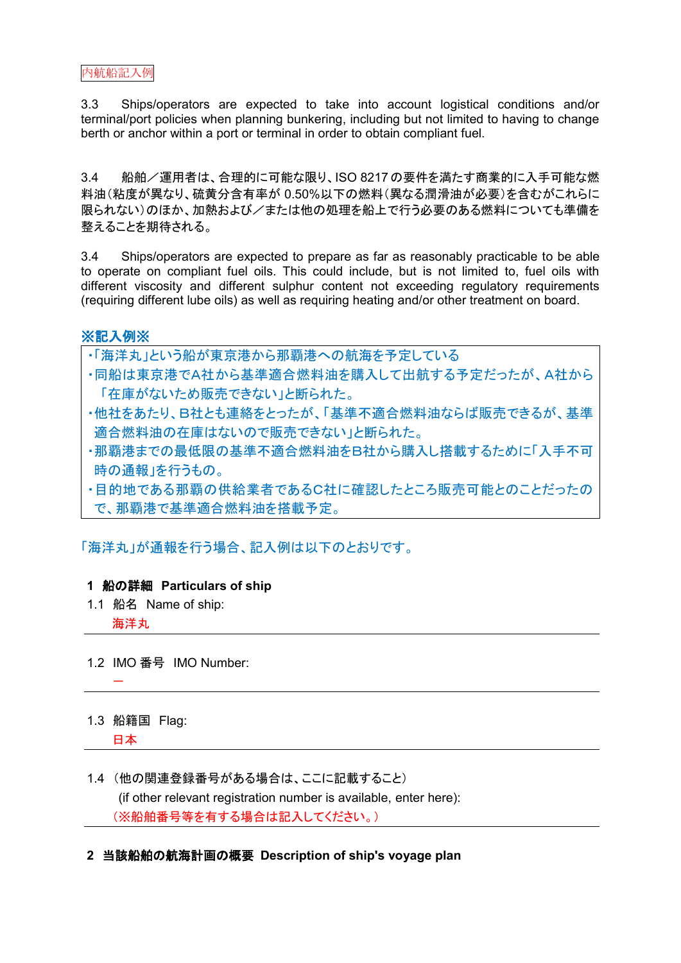3.3 Ships/operators are expected to take into account logistical conditions and/or terminal/port policies when planning bunkering, including but not limited to having to change berth or anchor within a port or terminal in order to obtain compliant fuel.

3.4 船舶/運用者は、合理的に可能な限り、ISO 8217の要件を満たす商業的に入手可能な燃 料油(粘度が異なり、硫黄分含有率が 0.50%以下の燃料(異なる潤滑油が必要)を含むがこれらに 限られない)のほか、加熱および/または他の処理を船上で行う必要のある燃料についても準備を 整えることを期待される。

3.4 Ships/operators are expected to prepare as far as reasonably practicable to be able to operate on compliant fuel oils. This could include, but is not limited to, fuel oils with different viscosity and different sulphur content not exceeding regulatory requirements (requiring different lube oils) as well as requiring heating and/or other treatment on board.

# ※記入例※

・「海洋丸」という船が東京港から那覇港への航海を予定している

- ・同船は東京港でA社から基準適合燃料油を購入して出航する予定だったが、A社から 「在庫がないため販売できない」と断られた。
- ・他社をあたり、B社とも連絡をとったが、「基準不適合燃料油ならば販売できるが、基準 適合燃料油の在庫はないので販売できない」と断られた。
- ・那覇港までの最低限の基準不適合燃料油をB社から購入し搭載するために「入手不可 時の通報」を行うもの。
- ・目的地である那覇の供給業者であるC社に確認したところ販売可能とのことだったの で、那覇港で基準適合燃料油を搭載予定。

「海洋丸」が通報を行う場合、記入例は以下のとおりです。

## **1** 船の詳細 **Particulars of ship**

1.1 船名 Name of ship:

海洋丸

-

- 1.2 IMO 番号 IMO Number:
- 1.3 船籍国 Flag: 日本
- 1.4 (他の関連登録番号がある場合は、ここに記載すること) (if other relevant registration number is available, enter here): (※船舶番号等を有する場合は記入してください。)
- **2** 当該船舶の航海計画の概要 **Description of ship's voyage plan**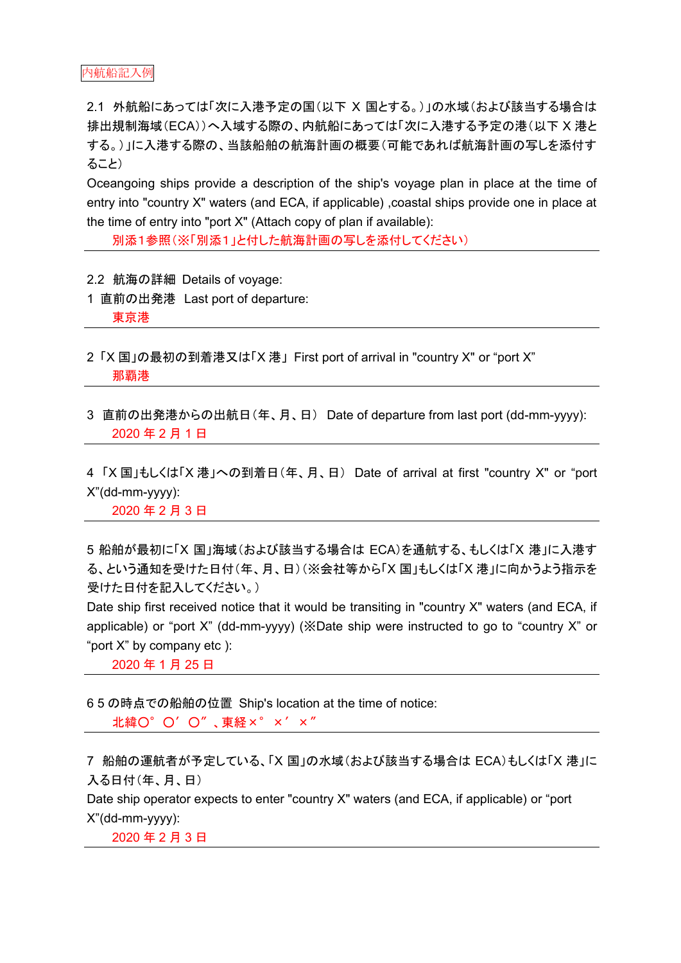2.1 外航船にあっては「次に入港予定の国(以下 X 国とする。)」の水域(および該当する場合は 排出規制海域(ECA))へ入域する際の、内航船にあっては「次に入港する予定の港(以下 X 港と する。)」に入港する際の、当該船舶の航海計画の概要(可能であれば航海計画の写しを添付す ること)

Oceangoing ships provide a description of the ship's voyage plan in place at the time of entry into "country X" waters (and ECA, if applicable) ,coastal ships provide one in place at the time of entry into "port X" (Attach copy of plan if available):

別添1参照(※「別添1」と付した航海計画の写しを添付してください)

- 2.2 航海の詳細 Details of voyage:
- 1 直前の出発港 Last port of departure:

東京港

- 2 「X 国」の最初の到着港又は「X 港」 First port of arrival in "country X" or "port X" 那覇港
- 3 直前の出発港からの出航日(年、月、日) Date of departure from last port (dd-mm-yyyy): 2020 年 2 月 1 日

4 「X 国」もしくは「X 港」への到着日(年、月、日) Date of arrival at first "country X" or "port X"(dd-mm-yyyy):

2020 年 2 月 3 日

5 船舶が最初に「X 国」海域(および該当する場合は ECA)を通航する、もしくは「X 港」に入港す る、という通知を受けた日付(年、月、日)(※会社等から「X 国」もしくは「X 港」に向かうよう指示を 受けた日付を記入してください。)

Date ship first received notice that it would be transiting in "country X" waters (and ECA, if applicable) or "port X" (dd-mm-yyyy) (※Date ship were instructed to go to "country X" or "port X" by company etc ):

2020 年 1 月 25 日

6 5 の時点での船舶の位置 Ship's location at the time of notice: 北緯O°O'O"、東経×°×′×″

7 船舶の運航者が予定している、「X 国」の水域(および該当する場合は ECA)もしくは「X 港」に 入る日付(年、月、日) Date ship operator expects to enter "country X" waters (and ECA, if applicable) or "port

X"(dd-mm-yyyy):

2020 年 2 月 3 日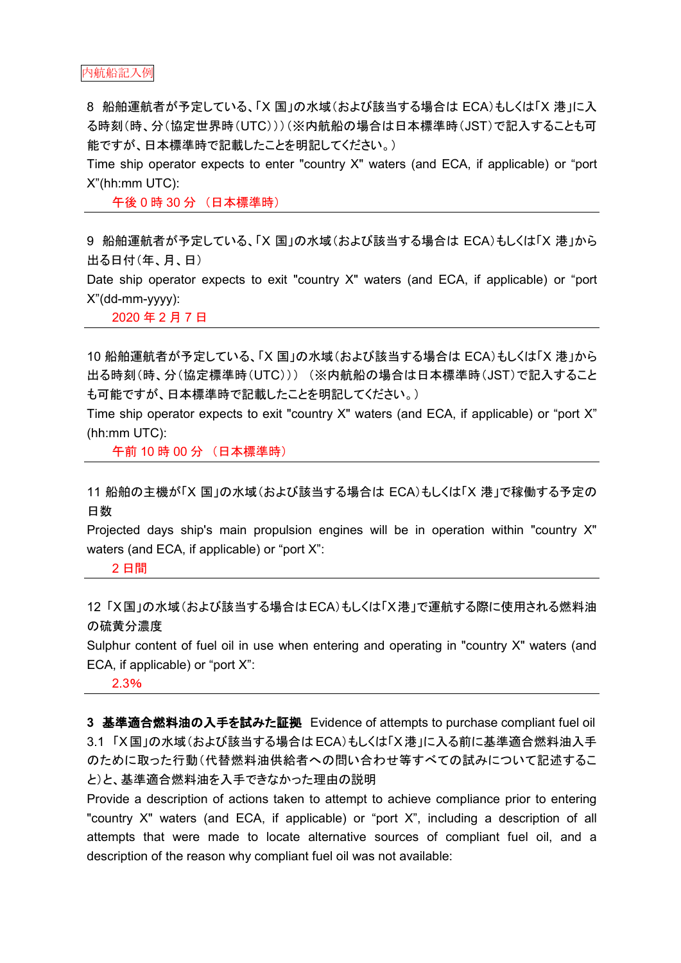8 船舶運航者が予定している、「X 国」の水域(および該当する場合は ECA)もしくは「X 港」に入 る時刻(時、分(協定世界時(UTC)))(※内航船の場合は日本標準時(JST)で記入することも可 能ですが、日本標準時で記載したことを明記してください。)

Time ship operator expects to enter "country X" waters (and ECA, if applicable) or "port X"(hh:mm UTC):

午後 0 時 30 分 (日本標準時)

9 船舶運航者が予定している、「X 国」の水域(および該当する場合は ECA)もしくは「X 港」から 出る日付(年、月、日)

Date ship operator expects to exit "country X" waters (and ECA, if applicable) or "port X"(dd-mm-yyyy):

2020 年 2 月 7 日

10 船舶運航者が予定している、「X 国」の水域(および該当する場合は ECA)もしくは「X 港」から 出る時刻(時、分(協定標準時(UTC))) (※内航船の場合は日本標準時(JST)で記入すること も可能ですが、日本標準時で記載したことを明記してください。)

Time ship operator expects to exit "country X" waters (and ECA, if applicable) or "port X" (hh:mm UTC):

午前 10 時 00 分 (日本標準時)

11 船舶の主機が「X 国」の水域(および該当する場合は ECA)もしくは「X 港」で稼働する予定の 日数

Projected days ship's main propulsion engines will be in operation within "country X" waters (and ECA, if applicable) or "port X":

2 日間

12 「X国」の水域(および該当する場合はECA)もしくは「X港」で運航する際に使用される燃料油 の硫黄分濃度

Sulphur content of fuel oil in use when entering and operating in "country X" waters (and ECA, if applicable) or "port X":

2.3%

**3** 基準適合燃料油の入手を試みた証拠 Evidence of attempts to purchase compliant fuel oil 3.1 「X国」の水域(および該当する場合はECA)もしくは「X港」に入る前に基準適合燃料油入手 のために取った行動(代替燃料油供給者への問い合わせ等すべての試みについて記述するこ と)と、基準適合燃料油を入手できなかった理由の説明

Provide a description of actions taken to attempt to achieve compliance prior to entering "country X" waters (and ECA, if applicable) or "port X", including a description of all attempts that were made to locate alternative sources of compliant fuel oil, and a description of the reason why compliant fuel oil was not available: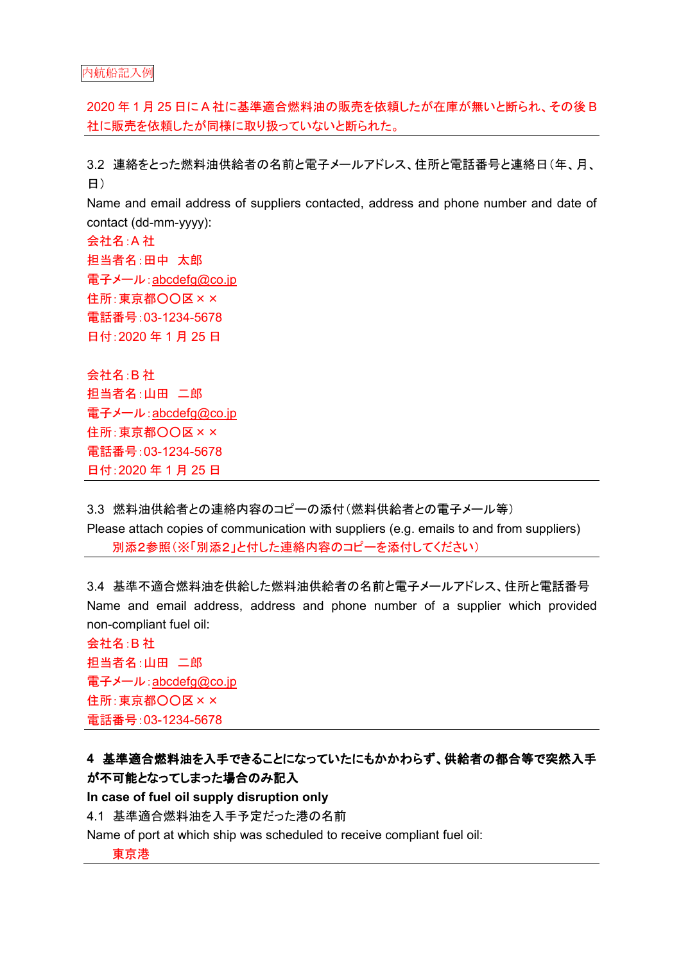2020 年 1 月 25 日に A 社に基準適合燃料油の販売を依頼したが在庫が無いと断られ、その後 B 社に販売を依頼したが同様に取り扱っていないと断られた。

3.2 連絡をとった燃料油供給者の名前と電子メールアドレス、住所と電話番号と連絡日(年、月、 日)

Name and email address of suppliers contacted, address and phone number and date of contact (dd-mm-yyyy):

- 会社名:A 社 担当者名:田中 太郎 電子メール: [abcdefg@co.jp](mailto:abcdefg@co.jp) 住所:東京都○○区×× 電話番号:03-1234-5678 日付:2020 年 1 月 25 日
- 会社名:B 社 担当者名:山田 二郎 電子メール: [abcdefg@co.jp](mailto:abcdefg@co.jp) 住所:東京都〇〇区×× 電話番号:03-1234-5678 日付:2020 年 1 月 25 日

3.3 燃料油供給者との連絡内容のコピーの添付(燃料供給者との電子メール等) Please attach copies of communication with suppliers (e.g. emails to and from suppliers) 別添2参照(※「別添2」と付した連絡内容のコピーを添付してください)

3.4 基準不適合燃料油を供給した燃料油供給者の名前と電子メールアドレス、住所と電話番号 Name and email address, address and phone number of a supplier which provided non-compliant fuel oil:

会社名:B 社 担当者名:山田 二郎 電子メール: [abcdefg@co.jp](mailto:abcdefg@co.jp) 住所:東京都〇〇区×× 電話番号:03-1234-5678

# **4** 基準適合燃料油を入手できることになっていたにもかかわらず、供給者の都合等で突然入手 が不可能となってしまった場合のみ記入

**In case of fuel oil supply disruption only**

4.1 基準適合燃料油を入手予定だった港の名前

Name of port at which ship was scheduled to receive compliant fuel oil:

東京港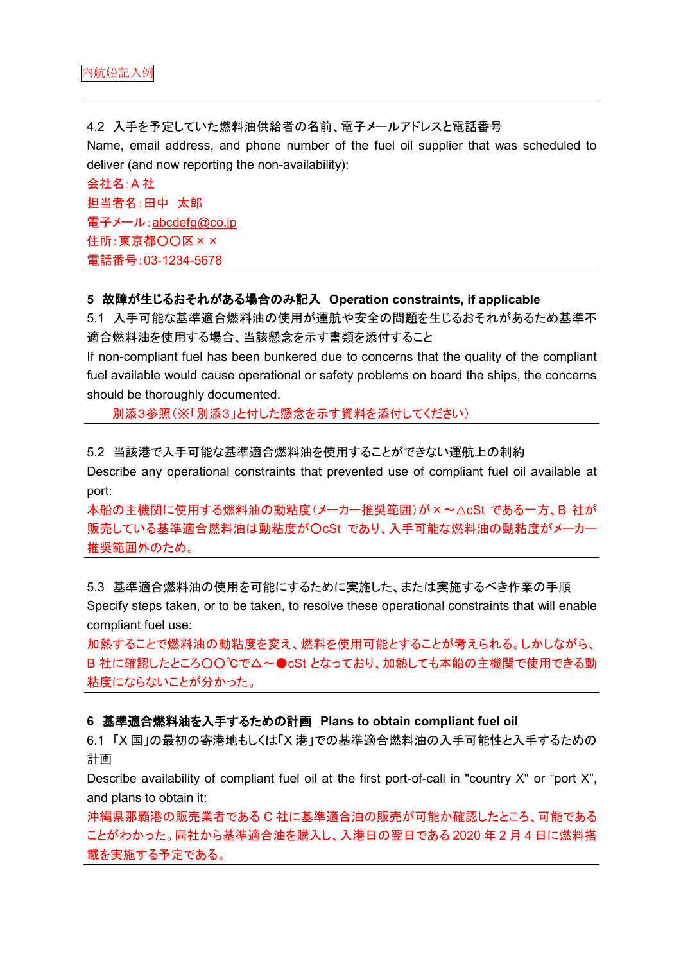4.2 入手を予定していた燃料油供給者の名前、電子メールアドレスと電話番号 Name, email address, and phone number of the fuel oil supplier that was scheduled to deliver (and now reporting the non-availability):

会社名:A 社 担当者名:田中 太郎 電子メール:[abcdefg@co.jp](mailto:abcdefg@co.jp) 住所:東京都〇〇区×× 電話番号:03-1234-5678

### **5** 故障が生じるおそれがある場合のみ記入 **Operation constraints, if applicable**

5.1 入手可能な基準適合燃料油の使用が運航や安全の問題を生じるおそれがあるため基準不 適合燃料油を使用する場合、当該懸念を示す書類を添付すること

If non-compliant fuel has been bunkered due to concerns that the quality of the compliant fuel available would cause operational or safety problems on board the ships, the concerns should be thoroughly documented.

別添3参照(※「別添3」と付した懸念を示す資料を添付してください)

#### 5.2 当該港で入手可能な基準適合燃料油を使用することができない運航上の制約

Describe any operational constraints that prevented use of compliant fuel oil available at port:

本船の主機関に使用する燃料油の動粘度(メーカー推奨範囲)が×~△cSt である一方、B 社が 販売している基準適合燃料油は動粘度が○cSt であり、入手可能な燃料油の動粘度がメーカー 推奨範囲外のため。

5.3 基準適合燃料油の使用を可能にするために実施した、または実施するべき作業の手順 Specify steps taken, or to be taken, to resolve these operational constraints that will enable compliant fuel use:

加熱することで燃料油の動粘度を変え、燃料を使用可能とすることが考えられる。しかしながら、 B社に確認したところ○○℃で△~●cSt となっており、加熱しても本船の主機関で使用できる動 粘度にならないことが分かった。

### **6** 基準適合燃料油を入手するための計画 **Plans to obtain compliant fuel oil**

6.1 「X 国」の最初の寄港地もしくは「X 港」での基準適合燃料油の入手可能性と入手するための 計画

Describe availability of compliant fuel oil at the first port-of-call in "country X" or "port X", and plans to obtain it:

沖縄県那覇港の販売業者である C 社に基準適合油の販売が可能か確認したところ、可能である ことがわかった。同社から基準適合油を購入し、入港日の翌日である 2020 年 2 月 4 日に燃料搭 載を実施する予定である。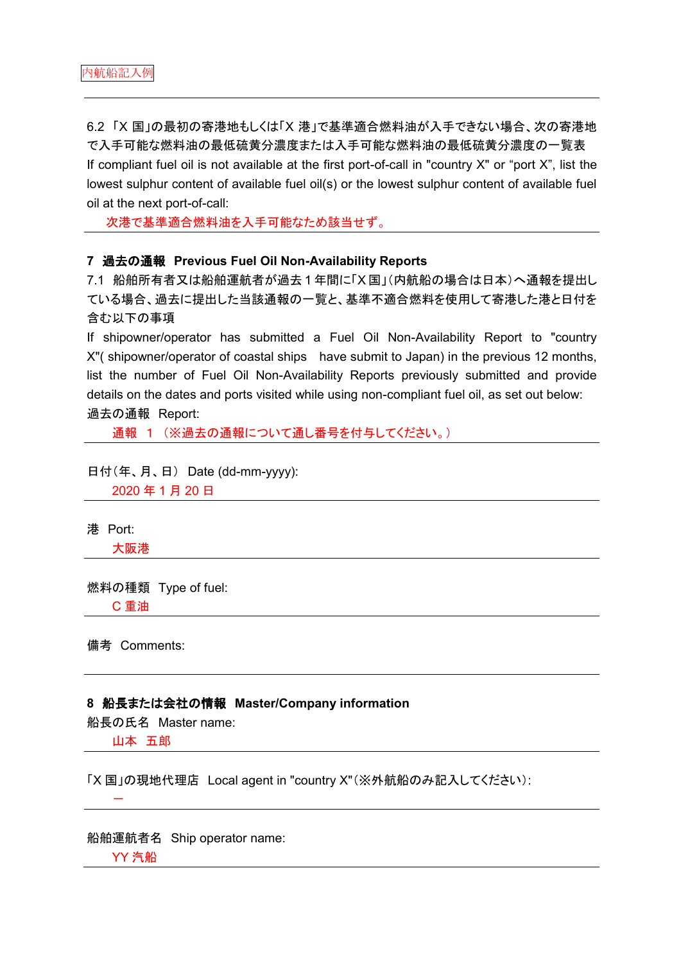6.2 「X 国」の最初の寄港地もしくは「X 港」で基準適合燃料油が入手できない場合、次の寄港地 で入手可能な燃料油の最低硫黄分濃度または入手可能な燃料油の最低硫黄分濃度の一覧表 If compliant fuel oil is not available at the first port-of-call in "country X" or "port X", list the lowest sulphur content of available fuel oil(s) or the lowest sulphur content of available fuel oil at the next port-of-call:

次港で基準適合燃料油を入手可能なため該当せず。

### **7** 過去の通報 **Previous Fuel Oil Non-Availability Reports**

7.1 船舶所有者又は船舶運航者が過去 1 年間に「X 国」(内航船の場合は日本)へ通報を提出し ている場合、過去に提出した当該通報の一覧と、基準不適合燃料を使用して寄港した港と日付を 含む以下の事項

If shipowner/operator has submitted a Fuel Oil Non-Availability Report to "country X"( shipowner/operator of coastal ships have submit to Japan) in the previous 12 months, list the number of Fuel Oil Non-Availability Reports previously submitted and provide details on the dates and ports visited while using non-compliant fuel oil, as set out below: 過去の通報 Report:

通報 1 (※過去の通報について通し番号を付与してください。)

日付(年、月、日) Date (dd-mm-yyyy):

2020 年 1 月 20 日

港 Port:

大阪港

# 燃料の種類 Type of fuel:

C 重油

備考 Comments:

### **8** 船長または会社の情報 **Master/Company information**

船長の氏名 Master name:

山本 五郎

-

「X 国」の現地代理店 Local agent in "country X"(※外航船のみ記入してください):

船舶運航者名 Ship operator name: YY 汽船